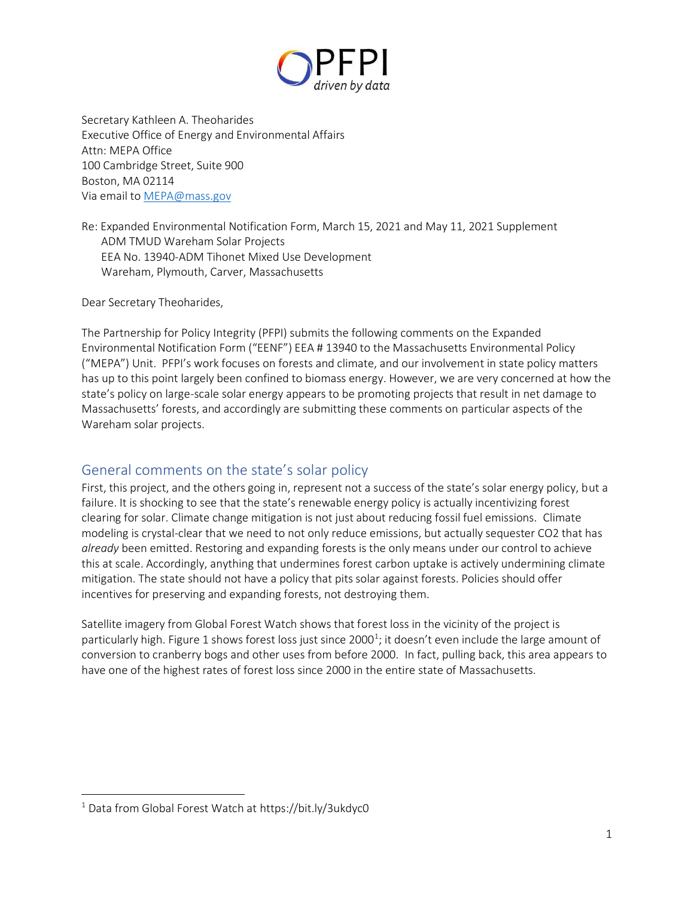

Secretary Kathleen A. Theoharides Executive Office of Energy and Environmental Affairs Attn: MEPA Office 100 Cambridge Street, Suite 900 Boston, MA 02114 Via email t[o MEPA@mass.gov](mailto:MEPA@mass.gov)

Re: Expanded Environmental Notification Form, March 15, 2021 and May 11, 2021 Supplement ADM TMUD Wareham Solar Projects EEA No. 13940-ADM Tihonet Mixed Use Development Wareham, Plymouth, Carver, Massachusetts

Dear Secretary Theoharides,

The Partnership for Policy Integrity (PFPI) submits the following comments on the Expanded Environmental Notification Form ("EENF") EEA # 13940 to the Massachusetts Environmental Policy ("MEPA") Unit. PFPI's work focuses on forests and climate, and our involvement in state policy matters has up to this point largely been confined to biomass energy. However, we are very concerned at how the state's policy on large-scale solar energy appears to be promoting projects that result in net damage to Massachusetts' forests, and accordingly are submitting these comments on particular aspects of the Wareham solar projects.

# General comments on the state's solar policy

First, this project, and the others going in, represent not a success of the state's solar energy policy, but a failure. It is shocking to see that the state's renewable energy policy is actually incentivizing forest clearing for solar. Climate change mitigation is not just about reducing fossil fuel emissions. Climate modeling is crystal-clear that we need to not only reduce emissions, but actually sequester CO2 that has *already* been emitted. Restoring and expanding forests is the only means under our control to achieve this at scale. Accordingly, anything that undermines forest carbon uptake is actively undermining climate mitigation. The state should not have a policy that pits solar against forests. Policies should offer incentives for preserving and expanding forests, not destroying them.

Satellite imagery from Global Forest Watch shows that forest loss in the vicinity of the project is particularly high. Figure 1 shows forest loss just since 2000<sup>1</sup>; it doesn't even include the large amount of conversion to cranberry bogs and other uses from before 2000. In fact, pulling back, this area appears to have one of the highest rates of forest loss since 2000 in the entire state of Massachusetts.

<sup>1</sup> Data from Global Forest Watch at https://bit.ly/3ukdyc0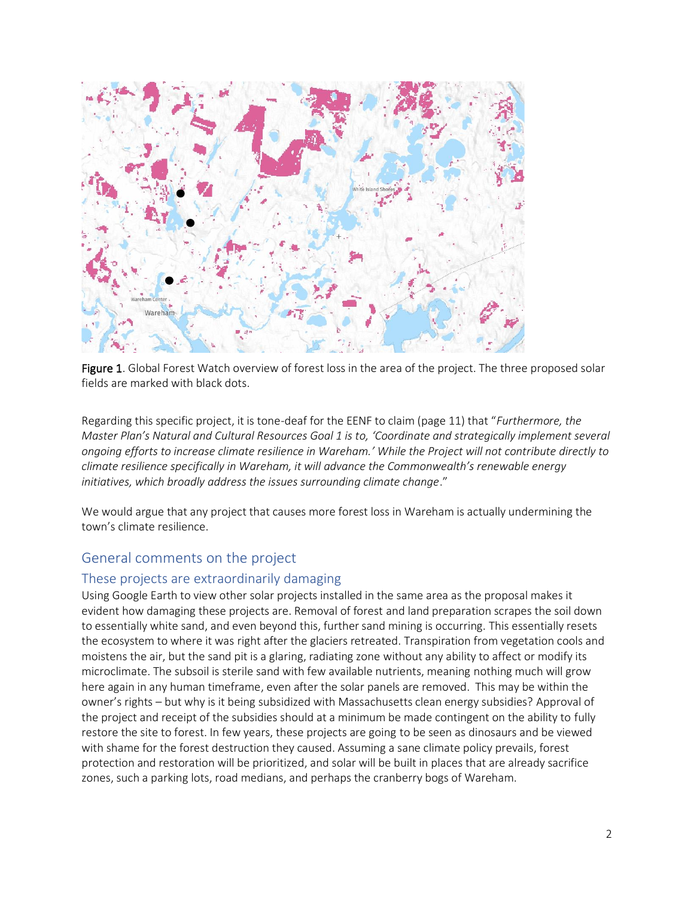

Figure 1. Global Forest Watch overview of forest loss in the area of the project. The three proposed solar fields are marked with black dots.

Regarding this specific project, it is tone-deaf for the EENF to claim (page 11) that "*Furthermore, the Master Plan's Natural and Cultural Resources Goal 1 is to, 'Coordinate and strategically implement several ongoing efforts to increase climate resilience in Wareham.' While the Project will not contribute directly to climate resilience specifically in Wareham, it will advance the Commonwealth's renewable energy initiatives, which broadly address the issues surrounding climate change*."

We would argue that any project that causes more forest loss in Wareham is actually undermining the town's climate resilience.

### General comments on the project

#### These projects are extraordinarily damaging

Using Google Earth to view other solar projects installed in the same area as the proposal makes it evident how damaging these projects are. Removal of forest and land preparation scrapes the soil down to essentially white sand, and even beyond this, further sand mining is occurring. This essentially resets the ecosystem to where it was right after the glaciers retreated. Transpiration from vegetation cools and moistens the air, but the sand pit is a glaring, radiating zone without any ability to affect or modify its microclimate. The subsoil is sterile sand with few available nutrients, meaning nothing much will grow here again in any human timeframe, even after the solar panels are removed. This may be within the owner's rights – but why is it being subsidized with Massachusetts clean energy subsidies? Approval of the project and receipt of the subsidies should at a minimum be made contingent on the ability to fully restore the site to forest. In few years, these projects are going to be seen as dinosaurs and be viewed with shame for the forest destruction they caused. Assuming a sane climate policy prevails, forest protection and restoration will be prioritized, and solar will be built in places that are already sacrifice zones, such a parking lots, road medians, and perhaps the cranberry bogs of Wareham.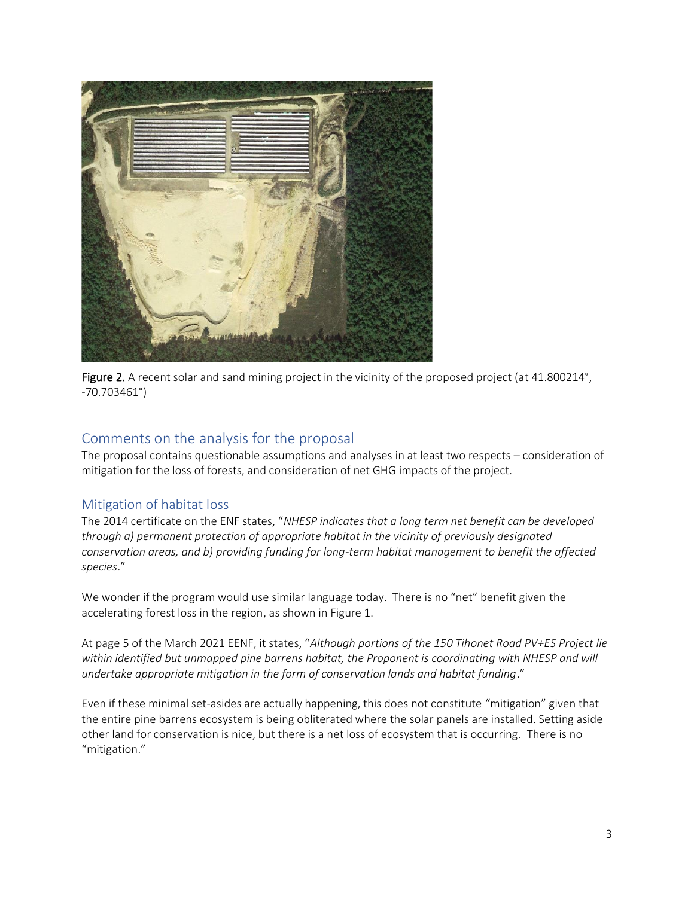

Figure 2. A recent solar and sand mining project in the vicinity of the proposed project (at 41.800214°, -70.703461°)

# Comments on the analysis for the proposal

The proposal contains questionable assumptions and analyses in at least two respects – consideration of mitigation for the loss of forests, and consideration of net GHG impacts of the project.

### Mitigation of habitat loss

The 2014 certificate on the ENF states, "*NHESP indicates that a long term net benefit can be developed through a) permanent protection of appropriate habitat in the vicinity of previously designated conservation areas, and b) providing funding for long-term habitat management to benefit the affected species*."

We wonder if the program would use similar language today. There is no "net" benefit given the accelerating forest loss in the region, as shown in Figure 1.

At page 5 of the March 2021 EENF, it states, "*Although portions of the 150 Tihonet Road PV+ES Project lie*  within identified but unmapped pine barrens habitat, the Proponent is coordinating with NHESP and will *undertake appropriate mitigation in the form of conservation lands and habitat funding*."

Even if these minimal set-asides are actually happening, this does not constitute "mitigation" given that the entire pine barrens ecosystem is being obliterated where the solar panels are installed. Setting aside other land for conservation is nice, but there is a net loss of ecosystem that is occurring. There is no "mitigation."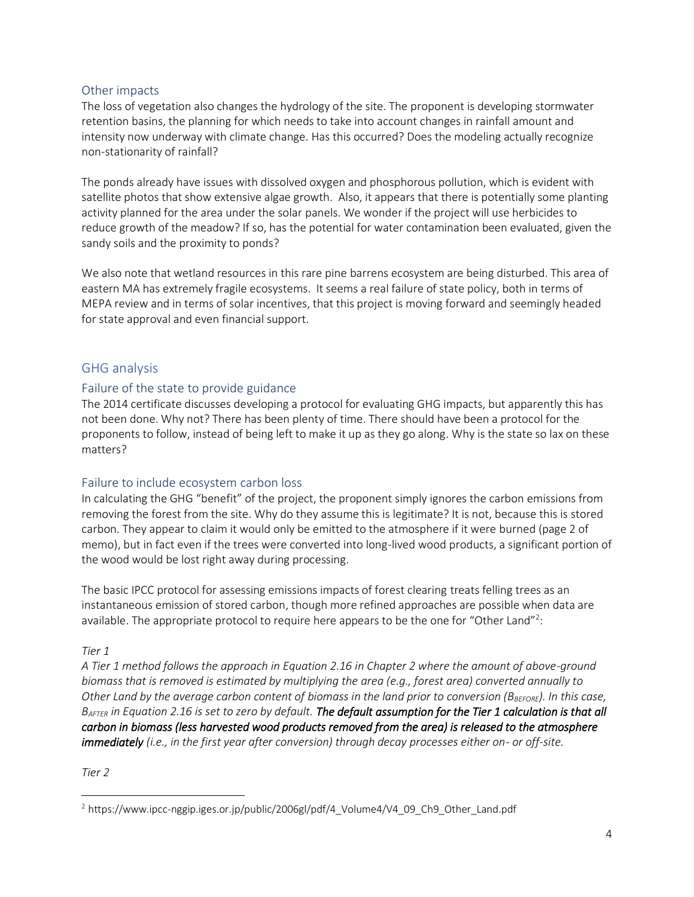### Other impacts

The loss of vegetation also changes the hydrology of the site. The proponent is developing stormwater retention basins, the planning for which needs to take into account changes in rainfall amount and intensity now underway with climate change. Has this occurred? Does the modeling actually recognize non-stationarity of rainfall?

The ponds already have issues with dissolved oxygen and phosphorous pollution, which is evident with satellite photos that show extensive algae growth. Also, it appears that there is potentially some planting activity planned for the area under the solar panels. We wonder if the project will use herbicides to reduce growth of the meadow? If so, has the potential for water contamination been evaluated, given the sandy soils and the proximity to ponds?

We also note that wetland resources in this rare pine barrens ecosystem are being disturbed. This area of eastern MA has extremely fragile ecosystems. It seems a real failure of state policy, both in terms of MEPA review and in terms of solar incentives, that this project is moving forward and seemingly headed for state approval and even financial support.

# GHG analysis

### Failure of the state to provide guidance

The 2014 certificate discusses developing a protocol for evaluating GHG impacts, but apparently this has not been done. Why not? There has been plenty of time. There should have been a protocol for the proponents to follow, instead of being left to make it up as they go along. Why is the state so lax on these matters?

### Failure to include ecosystem carbon loss

In calculating the GHG "benefit" of the project, the proponent simply ignores the carbon emissions from removing the forest from the site. Why do they assume this is legitimate? It is not, because this is stored carbon. They appear to claim it would only be emitted to the atmosphere if it were burned (page 2 of memo), but in fact even if the trees were converted into long-lived wood products, a significant portion of the wood would be lost right away during processing.

The basic IPCC protocol for assessing emissions impacts of forest clearing treats felling trees as an instantaneous emission of stored carbon, though more refined approaches are possible when data are available. The appropriate protocol to require here appears to be the one for "Other Land"<sup>2</sup>:

### *Tier 1*

*A Tier 1 method follows the approach in Equation 2.16 in Chapter 2 where the amount of above-ground biomass that is removed is estimated by multiplying the area (e.g., forest area) converted annually to Other Land by the average carbon content of biomass in the land prior to conversion (BBEFORE). In this case, BAFTER in Equation 2.16 is set to zero by default. The default assumption for the Tier 1 calculation is that all carbon in biomass (less harvested wood products removed from the area) is released to the atmosphere immediately (i.e., in the first year after conversion) through decay processes either on- or off-site.*

*Tier 2* 

<sup>2</sup> https://www.ipcc-nggip.iges.or.jp/public/2006gl/pdf/4\_Volume4/V4\_09\_Ch9\_Other\_Land.pdf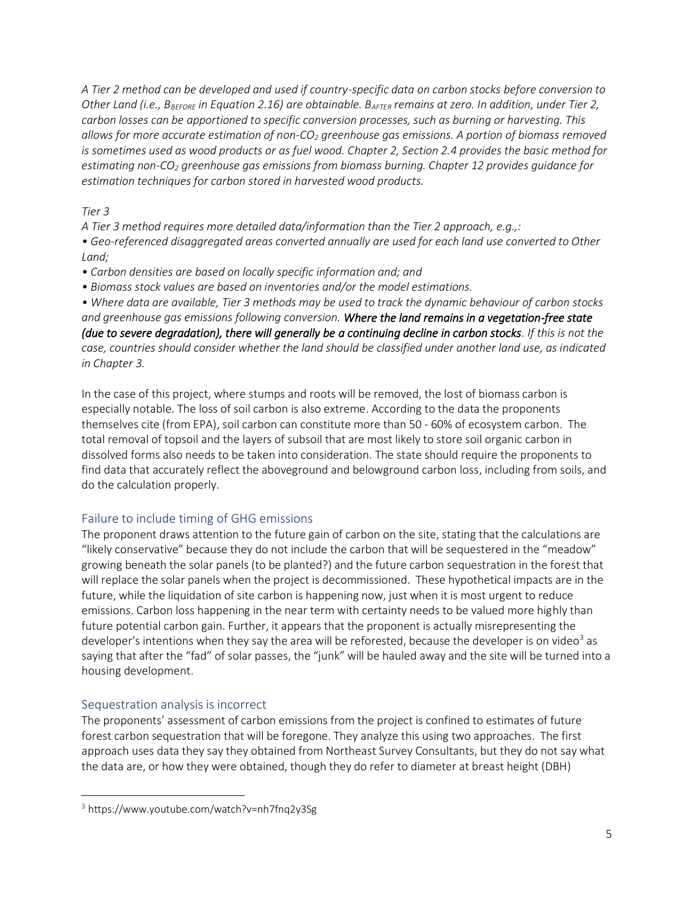*A Tier 2 method can be developed and used if country-specific data on carbon stocks before conversion to Other Land (i.e., BBEFORE in Equation 2.16) are obtainable. BAFTER remains at zero. In addition, under Tier 2, carbon losses can be apportioned to specific conversion processes, such as burning or harvesting. This allows for more accurate estimation of non-CO<sup>2</sup> greenhouse gas emissions. A portion of biomass removed is sometimes used as wood products or as fuel wood. Chapter 2, Section 2.4 provides the basic method for estimating non-CO<sup>2</sup> greenhouse gas emissions from biomass burning. Chapter 12 provides guidance for estimation techniques for carbon stored in harvested wood products.* 

### *Tier 3*

*A Tier 3 method requires more detailed data/information than the Tier 2 approach, e.g.,:* 

*• Geo-referenced disaggregated areas converted annually are used for each land use converted to Other Land;* 

- *Carbon densities are based on locally specific information and; and*
- *Biomass stock values are based on inventories and/or the model estimations.*

*• Where data are available, Tier 3 methods may be used to track the dynamic behaviour of carbon stocks and greenhouse gas emissions following conversion. Where the land remains in a vegetation-free state (due to severe degradation), there will generally be a continuing decline in carbon stocks. If this is not the case, countries should consider whether the land should be classified under another land use, as indicated in Chapter 3.*

In the case of this project, where stumps and roots will be removed, the lost of biomass carbon is especially notable. The loss of soil carbon is also extreme. According to the data the proponents themselves cite (from EPA), soil carbon can constitute more than 50 - 60% of ecosystem carbon. The total removal of topsoil and the layers of subsoil that are most likely to store soil organic carbon in dissolved forms also needs to be taken into consideration. The state should require the proponents to find data that accurately reflect the aboveground and belowground carbon loss, including from soils, and do the calculation properly.

# Failure to include timing of GHG emissions

The proponent draws attention to the future gain of carbon on the site, stating that the calculations are "likely conservative" because they do not include the carbon that will be sequestered in the "meadow" growing beneath the solar panels (to be planted?) and the future carbon sequestration in the forest that will replace the solar panels when the project is decommissioned. These hypothetical impacts are in the future, while the liquidation of site carbon is happening now, just when it is most urgent to reduce emissions. Carbon loss happening in the near term with certainty needs to be valued more highly than future potential carbon gain. Further, it appears that the proponent is actually misrepresenting the developer's intentions when they say the area will be reforested, because the developer is on video<sup>3</sup> as saying that after the "fad" of solar passes, the "junk" will be hauled away and the site will be turned into a housing development.

# Sequestration analysis is incorrect

The proponents' assessment of carbon emissions from the project is confined to estimates of future forest carbon sequestration that will be foregone. They analyze this using two approaches. The first approach uses data they say they obtained from Northeast Survey Consultants, but they do not say what the data are, or how they were obtained, though they do refer to diameter at breast height (DBH)

<sup>3</sup> https://www.youtube.com/watch?v=nh7fnq2y3Sg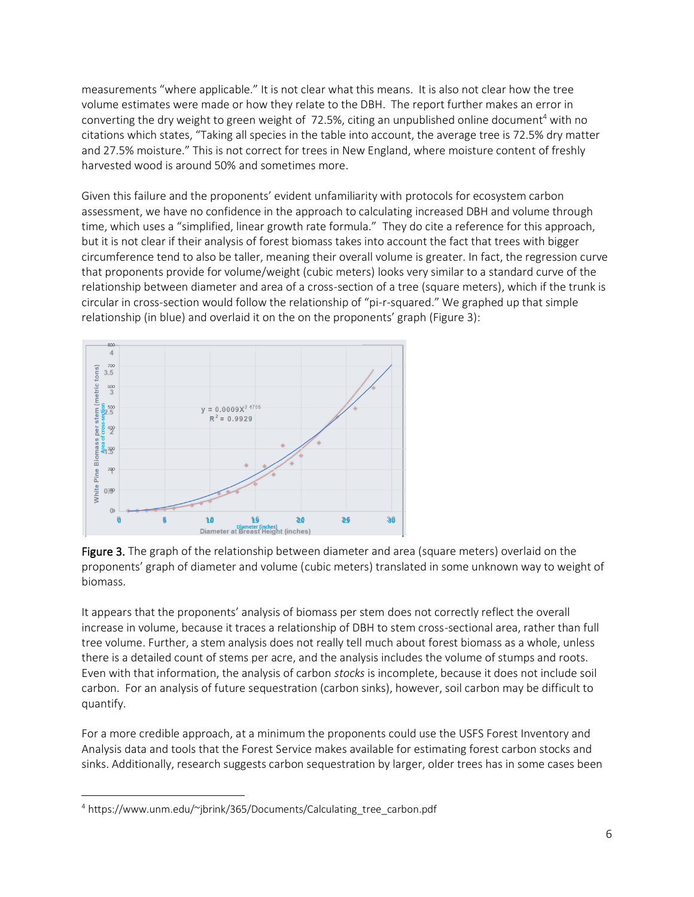measurements "where applicable." It is not clear what this means. It is also not clear how the tree volume estimates were made or how they relate to the DBH. The report further makes an error in converting the dry weight to green weight of  $72.5%$ , citing an unpublished online document<sup>4</sup> with no citations which states, "Taking all species in the table into account, the average tree is 72.5% dry matter and 27.5% moisture." This is not correct for trees in New England, where moisture content of freshly harvested wood is around 50% and sometimes more.

Given this failure and the proponents' evident unfamiliarity with protocols for ecosystem carbon assessment, we have no confidence in the approach to calculating increased DBH and volume through time, which uses a "simplified, linear growth rate formula." They do cite a reference for this approach, but it is not clear if their analysis of forest biomass takes into account the fact that trees with bigger circumference tend to also be taller, meaning their overall volume is greater. In fact, the regression curve that proponents provide for volume/weight (cubic meters) looks very similar to a standard curve of the relationship between diameter and area of a cross-section of a tree (square meters), which if the trunk is circular in cross-section would follow the relationship of "pi-r-squared." We graphed up that simple relationship (in blue) and overlaid it on the on the proponents' graph (Figure 3):



Figure 3. The graph of the relationship between diameter and area (square meters) overlaid on the proponents' graph of diameter and volume (cubic meters) translated in some unknown way to weight of biomass.

It appears that the proponents' analysis of biomass per stem does not correctly reflect the overall increase in volume, because it traces a relationship of DBH to stem cross-sectional area, rather than full tree volume. Further, a stem analysis does not really tell much about forest biomass as a whole, unless there is a detailed count of stems per acre, and the analysis includes the volume of stumps and roots. Even with that information, the analysis of carbon *stocks* is incomplete, because it does not include soil carbon. For an analysis of future sequestration (carbon sinks), however, soil carbon may be difficult to quantify.

For a more credible approach, at a minimum the proponents could use the USFS Forest Inventory and Analysis data and tools that the Forest Service makes available for estimating forest carbon stocks and sinks. Additionally, research suggests carbon sequestration by larger, older trees has in some cases been

<sup>4</sup> https://www.unm.edu/~jbrink/365/Documents/Calculating\_tree\_carbon.pdf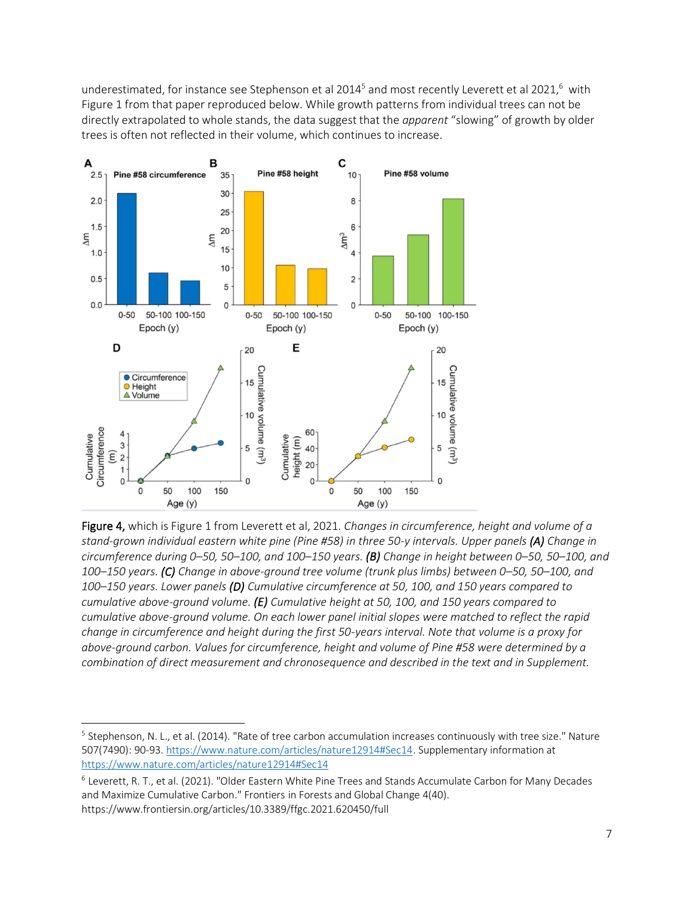underestimated, for instance see Stephenson et al 2014<sup>5</sup> and most recently Leverett et al 2021,<sup>6</sup> with Figure 1 from that paper reproduced below. While growth patterns from individual trees can not be directly extrapolated to whole stands, the data suggest that the *apparent* "slowing" of growth by older trees is often not reflected in their volume, which continues to increase.



Figure 4, which is Figure 1 from Leverett et al, 2021. *Changes in circumference, height and volume of a stand-grown individual eastern white pine (Pine #58) in three 50-y intervals. Upper panels (A) Change in circumference during 0–50, 50–100, and 100–150 years. (B) Change in height between 0–50, 50–100, and 100–150 years. (C) Change in above-ground tree volume (trunk plus limbs) between 0–50, 50–100, and 100–150 years. Lower panels (D) Cumulative circumference at 50, 100, and 150 years compared to cumulative above-ground volume. (E) Cumulative height at 50, 100, and 150 years compared to cumulative above-ground volume. On each lower panel initial slopes were matched to reflect the rapid change in circumference and height during the first 50-years interval. Note that volume is a proxy for above-ground carbon. Values for circumference, height and volume of Pine #58 were determined by a combination of direct measurement and chronosequence and described in the text and in Supplement.*

<sup>&</sup>lt;sup>5</sup> Stephenson, N. L., et al. (2014). "Rate of tree carbon accumulation increases continuously with tree size." Nature 507(7490): 90-93[. https://www.nature.com/articles/nature12914#Sec14.](https://www.nature.com/articles/nature12914#Sec14) Supplementary information at <https://www.nature.com/articles/nature12914#Sec14>

<sup>6</sup> Leverett, R. T., et al. (2021). "Older Eastern White Pine Trees and Stands Accumulate Carbon for Many Decades and Maximize Cumulative Carbon." Frontiers in Forests and Global Change 4(40). https://www.frontiersin.org/articles/10.3389/ffgc.2021.620450/full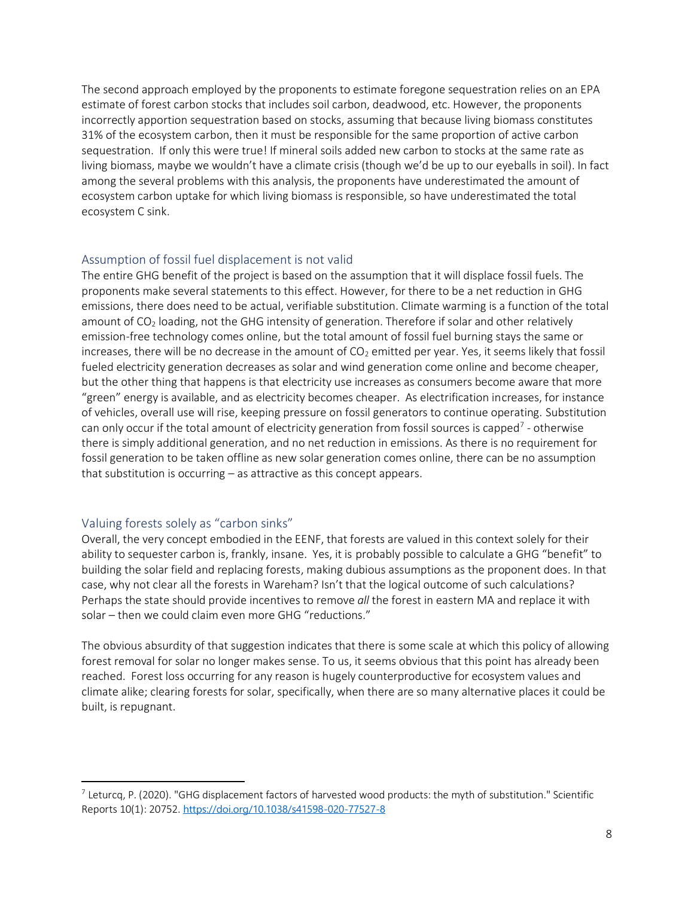The second approach employed by the proponents to estimate foregone sequestration relies on an EPA estimate of forest carbon stocks that includes soil carbon, deadwood, etc. However, the proponents incorrectly apportion sequestration based on stocks, assuming that because living biomass constitutes 31% of the ecosystem carbon, then it must be responsible for the same proportion of active carbon sequestration. If only this were true! If mineral soils added new carbon to stocks at the same rate as living biomass, maybe we wouldn't have a climate crisis (though we'd be up to our eyeballs in soil). In fact among the several problems with this analysis, the proponents have underestimated the amount of ecosystem carbon uptake for which living biomass is responsible, so have underestimated the total ecosystem C sink.

#### Assumption of fossil fuel displacement is not valid

The entire GHG benefit of the project is based on the assumption that it will displace fossil fuels. The proponents make several statements to this effect. However, for there to be a net reduction in GHG emissions, there does need to be actual, verifiable substitution. Climate warming is a function of the total amount of  $CO<sub>2</sub>$  loading, not the GHG intensity of generation. Therefore if solar and other relatively emission-free technology comes online, but the total amount of fossil fuel burning stays the same or increases, there will be no decrease in the amount of  $CO<sub>2</sub>$  emitted per year. Yes, it seems likely that fossil fueled electricity generation decreases as solar and wind generation come online and become cheaper, but the other thing that happens is that electricity use increases as consumers become aware that more "green" energy is available, and as electricity becomes cheaper. As electrification increases, for instance of vehicles, overall use will rise, keeping pressure on fossil generators to continue operating. Substitution can only occur if the total amount of electricity generation from fossil sources is capped<sup>7</sup> - otherwise there is simply additional generation, and no net reduction in emissions. As there is no requirement for fossil generation to be taken offline as new solar generation comes online, there can be no assumption that substitution is occurring – as attractive as this concept appears.

#### Valuing forests solely as "carbon sinks"

Overall, the very concept embodied in the EENF, that forests are valued in this context solely for their ability to sequester carbon is, frankly, insane. Yes, it is probably possible to calculate a GHG "benefit" to building the solar field and replacing forests, making dubious assumptions as the proponent does. In that case, why not clear all the forests in Wareham? Isn't that the logical outcome of such calculations? Perhaps the state should provide incentives to remove *all* the forest in eastern MA and replace it with solar – then we could claim even more GHG "reductions."

The obvious absurdity of that suggestion indicates that there is some scale at which this policy of allowing forest removal for solar no longer makes sense. To us, it seems obvious that this point has already been reached. Forest loss occurring for any reason is hugely counterproductive for ecosystem values and climate alike; clearing forests for solar, specifically, when there are so many alternative places it could be built, is repugnant.

 $^7$  Leturcq, P. (2020). "GHG displacement factors of harvested wood products: the myth of substitution." Scientific Reports 10(1): 20752. <https://doi.org/10.1038/s41598-020-77527-8>